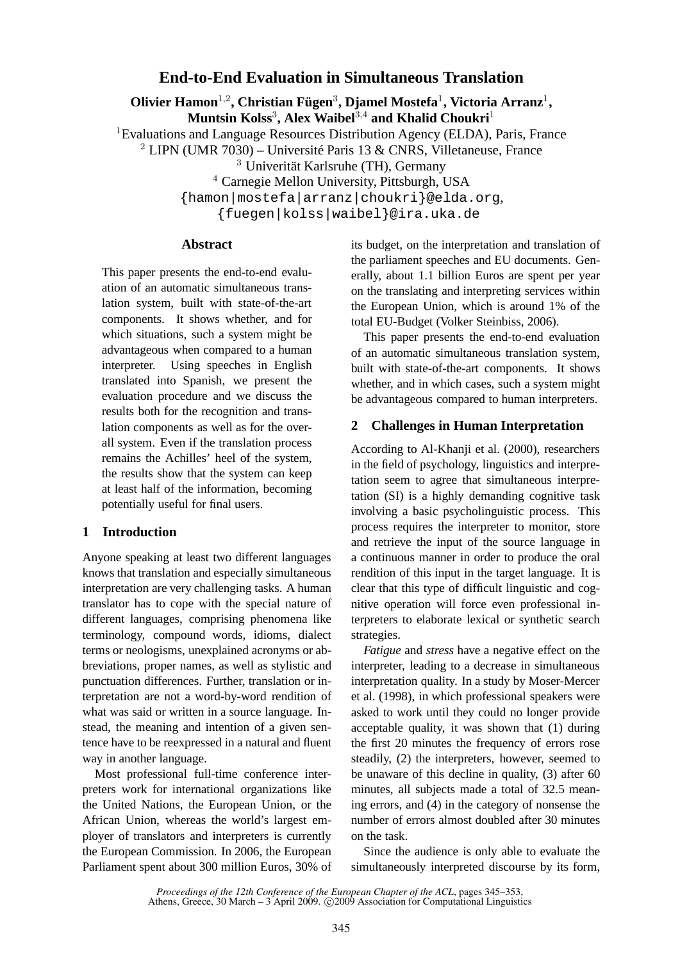# **End-to-End Evaluation in Simultaneous Translation**

**Olivier Hamon**<sup>1</sup>,<sup>2</sup> **, Christian Fügen**<sup>3</sup> **, Djamel Mostefa**<sup>1</sup> **, Victoria Arranz**<sup>1</sup> **, Muntsin Kolss**<sup>3</sup> **, Alex Waibel**<sup>3</sup>,<sup>4</sup> **and Khalid Choukri**<sup>1</sup>

<sup>1</sup>Evaluations and Language Resources Distribution Agency (ELDA), Paris, France

<sup>2</sup> LIPN (UMR 7030) – Université Paris 13 & CNRS, Villetaneuse, France

<sup>3</sup> Univerität Karlsruhe (TH), Germany

<sup>4</sup> Carnegie Mellon University, Pittsburgh, USA

{hamon|mostefa|arranz|choukri}@elda.org,

{fuegen|kolss|waibel}@ira.uka.de

### **Abstract**

This paper presents the end-to-end evaluation of an automatic simultaneous translation system, built with state-of-the-art components. It shows whether, and for which situations, such a system might be advantageous when compared to a human interpreter. Using speeches in English translated into Spanish, we present the evaluation procedure and we discuss the results both for the recognition and translation components as well as for the overall system. Even if the translation process remains the Achilles' heel of the system, the results show that the system can keep at least half of the information, becoming potentially useful for final users.

# **1 Introduction**

Anyone speaking at least two different languages knows that translation and especially simultaneous interpretation are very challenging tasks. A human translator has to cope with the special nature of different languages, comprising phenomena like terminology, compound words, idioms, dialect terms or neologisms, unexplained acronyms or abbreviations, proper names, as well as stylistic and punctuation differences. Further, translation or interpretation are not a word-by-word rendition of what was said or written in a source language. Instead, the meaning and intention of a given sentence have to be reexpressed in a natural and fluent way in another language.

Most professional full-time conference interpreters work for international organizations like the United Nations, the European Union, or the African Union, whereas the world's largest employer of translators and interpreters is currently the European Commission. In 2006, the European Parliament spent about 300 million Euros, 30% of its budget, on the interpretation and translation of the parliament speeches and EU documents. Generally, about 1.1 billion Euros are spent per year on the translating and interpreting services within the European Union, which is around 1% of the total EU-Budget (Volker Steinbiss, 2006).

This paper presents the end-to-end evaluation of an automatic simultaneous translation system, built with state-of-the-art components. It shows whether, and in which cases, such a system might be advantageous compared to human interpreters.

## **2 Challenges in Human Interpretation**

According to Al-Khanji et al. (2000), researchers in the field of psychology, linguistics and interpretation seem to agree that simultaneous interpretation (SI) is a highly demanding cognitive task involving a basic psycholinguistic process. This process requires the interpreter to monitor, store and retrieve the input of the source language in a continuous manner in order to produce the oral rendition of this input in the target language. It is clear that this type of difficult linguistic and cognitive operation will force even professional interpreters to elaborate lexical or synthetic search strategies.

*Fatigue* and *stress* have a negative effect on the interpreter, leading to a decrease in simultaneous interpretation quality. In a study by Moser-Mercer et al. (1998), in which professional speakers were asked to work until they could no longer provide acceptable quality, it was shown that (1) during the first 20 minutes the frequency of errors rose steadily, (2) the interpreters, however, seemed to be unaware of this decline in quality, (3) after 60 minutes, all subjects made a total of 32.5 meaning errors, and (4) in the category of nonsense the number of errors almost doubled after 30 minutes on the task.

Since the audience is only able to evaluate the simultaneously interpreted discourse by its form,

*Proceedings of the 12th Conference of the European Chapter of the ACL*, pages 345–353, Athens, Greece, 30 March – 3 April 2009. C 2009 Association for Computational Linguistics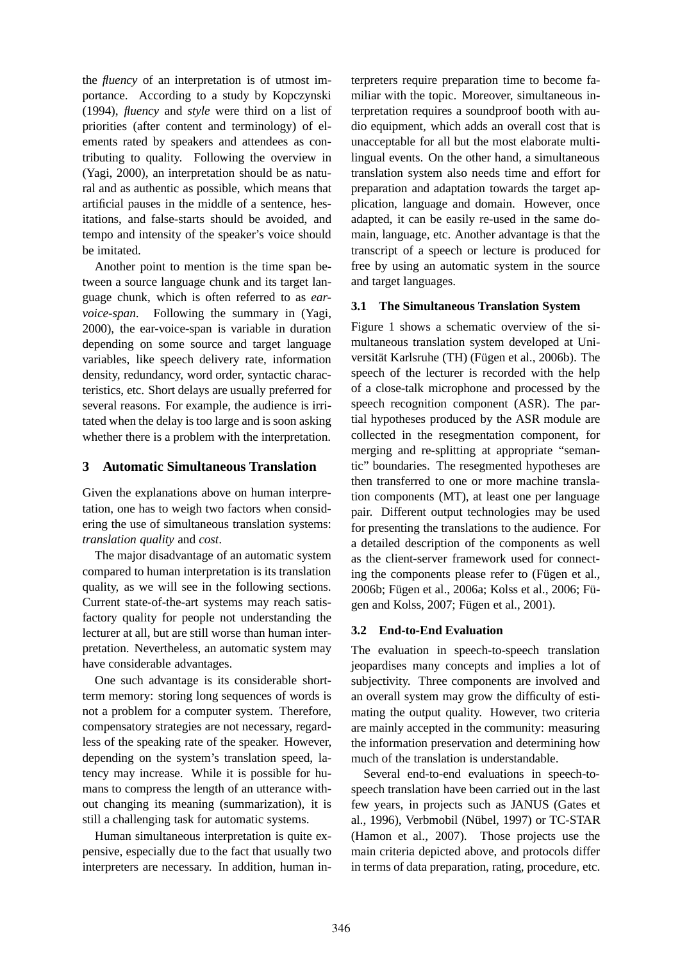the *fluency* of an interpretation is of utmost importance. According to a study by Kopczynski (1994), *fluency* and *style* were third on a list of priorities (after content and terminology) of elements rated by speakers and attendees as contributing to quality. Following the overview in (Yagi, 2000), an interpretation should be as natural and as authentic as possible, which means that artificial pauses in the middle of a sentence, hesitations, and false-starts should be avoided, and tempo and intensity of the speaker's voice should be imitated.

Another point to mention is the time span between a source language chunk and its target language chunk, which is often referred to as *earvoice-span*. Following the summary in (Yagi, 2000), the ear-voice-span is variable in duration depending on some source and target language variables, like speech delivery rate, information density, redundancy, word order, syntactic characteristics, etc. Short delays are usually preferred for several reasons. For example, the audience is irritated when the delay is too large and is soon asking whether there is a problem with the interpretation.

# **3 Automatic Simultaneous Translation**

Given the explanations above on human interpretation, one has to weigh two factors when considering the use of simultaneous translation systems: *translation quality* and *cost*.

The major disadvantage of an automatic system compared to human interpretation is its translation quality, as we will see in the following sections. Current state-of-the-art systems may reach satisfactory quality for people not understanding the lecturer at all, but are still worse than human interpretation. Nevertheless, an automatic system may have considerable advantages.

One such advantage is its considerable shortterm memory: storing long sequences of words is not a problem for a computer system. Therefore, compensatory strategies are not necessary, regardless of the speaking rate of the speaker. However, depending on the system's translation speed, latency may increase. While it is possible for humans to compress the length of an utterance without changing its meaning (summarization), it is still a challenging task for automatic systems.

Human simultaneous interpretation is quite expensive, especially due to the fact that usually two interpreters are necessary. In addition, human interpreters require preparation time to become familiar with the topic. Moreover, simultaneous interpretation requires a soundproof booth with audio equipment, which adds an overall cost that is unacceptable for all but the most elaborate multilingual events. On the other hand, a simultaneous translation system also needs time and effort for preparation and adaptation towards the target application, language and domain. However, once adapted, it can be easily re-used in the same domain, language, etc. Another advantage is that the transcript of a speech or lecture is produced for free by using an automatic system in the source and target languages.

# **3.1 The Simultaneous Translation System**

Figure 1 shows a schematic overview of the simultaneous translation system developed at Universität Karlsruhe (TH) (Fügen et al., 2006b). The speech of the lecturer is recorded with the help of a close-talk microphone and processed by the speech recognition component (ASR). The partial hypotheses produced by the ASR module are collected in the resegmentation component, for merging and re-splitting at appropriate "semantic" boundaries. The resegmented hypotheses are then transferred to one or more machine translation components (MT), at least one per language pair. Different output technologies may be used for presenting the translations to the audience. For a detailed description of the components as well as the client-server framework used for connecting the components please refer to (Fügen et al., 2006b; Fügen et al., 2006a; Kolss et al., 2006; Fügen and Kolss, 2007; Fügen et al., 2001).

# **3.2 End-to-End Evaluation**

The evaluation in speech-to-speech translation jeopardises many concepts and implies a lot of subjectivity. Three components are involved and an overall system may grow the difficulty of estimating the output quality. However, two criteria are mainly accepted in the community: measuring the information preservation and determining how much of the translation is understandable.

Several end-to-end evaluations in speech-tospeech translation have been carried out in the last few years, in projects such as JANUS (Gates et al., 1996), Verbmobil (Nübel, 1997) or TC-STAR (Hamon et al., 2007). Those projects use the main criteria depicted above, and protocols differ in terms of data preparation, rating, procedure, etc.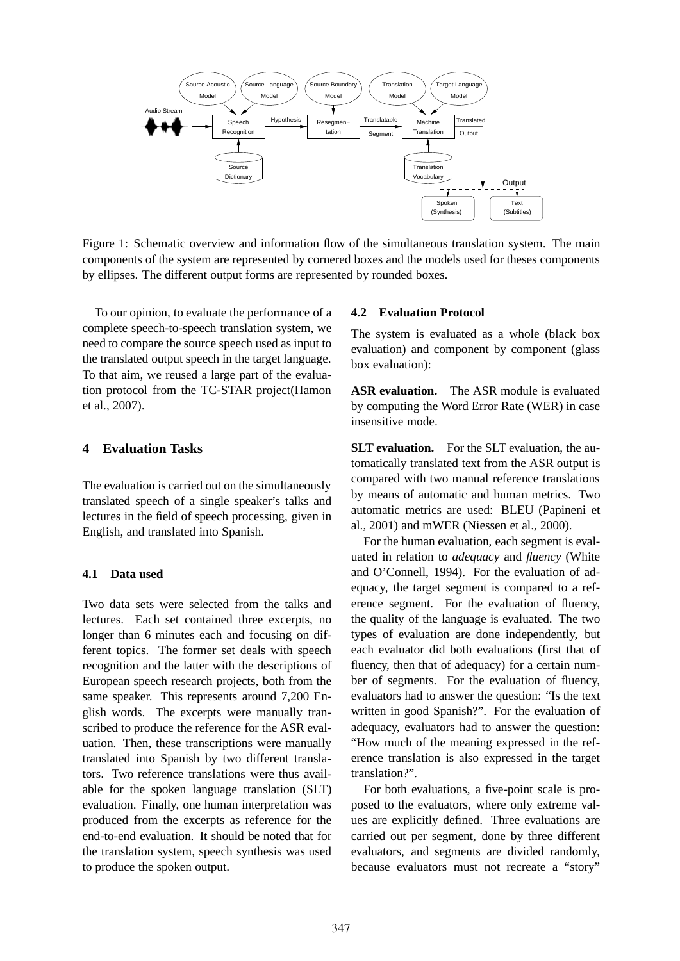

Figure 1: Schematic overview and information flow of the simultaneous translation system. The main components of the system are represented by cornered boxes and the models used for theses components by ellipses. The different output forms are represented by rounded boxes.

To our opinion, to evaluate the performance of a complete speech-to-speech translation system, we need to compare the source speech used as input to the translated output speech in the target language. To that aim, we reused a large part of the evaluation protocol from the TC-STAR project(Hamon et al., 2007).

### **4 Evaluation Tasks**

The evaluation is carried out on the simultaneously translated speech of a single speaker's talks and lectures in the field of speech processing, given in English, and translated into Spanish.

### **4.1 Data used**

Two data sets were selected from the talks and lectures. Each set contained three excerpts, no longer than 6 minutes each and focusing on different topics. The former set deals with speech recognition and the latter with the descriptions of European speech research projects, both from the same speaker. This represents around 7,200 English words. The excerpts were manually transcribed to produce the reference for the ASR evaluation. Then, these transcriptions were manually translated into Spanish by two different translators. Two reference translations were thus available for the spoken language translation (SLT) evaluation. Finally, one human interpretation was produced from the excerpts as reference for the end-to-end evaluation. It should be noted that for the translation system, speech synthesis was used to produce the spoken output.

#### **4.2 Evaluation Protocol**

The system is evaluated as a whole (black box evaluation) and component by component (glass box evaluation):

**ASR evaluation.** The ASR module is evaluated by computing the Word Error Rate (WER) in case insensitive mode.

**SLT evaluation.** For the SLT evaluation, the automatically translated text from the ASR output is compared with two manual reference translations by means of automatic and human metrics. Two automatic metrics are used: BLEU (Papineni et al., 2001) and mWER (Niessen et al., 2000).

For the human evaluation, each segment is evaluated in relation to *adequacy* and *fluency* (White and O'Connell, 1994). For the evaluation of adequacy, the target segment is compared to a reference segment. For the evaluation of fluency, the quality of the language is evaluated. The two types of evaluation are done independently, but each evaluator did both evaluations (first that of fluency, then that of adequacy) for a certain number of segments. For the evaluation of fluency, evaluators had to answer the question: "Is the text written in good Spanish?". For the evaluation of adequacy, evaluators had to answer the question: "How much of the meaning expressed in the reference translation is also expressed in the target translation?".

For both evaluations, a five-point scale is proposed to the evaluators, where only extreme values are explicitly defined. Three evaluations are carried out per segment, done by three different evaluators, and segments are divided randomly, because evaluators must not recreate a "story"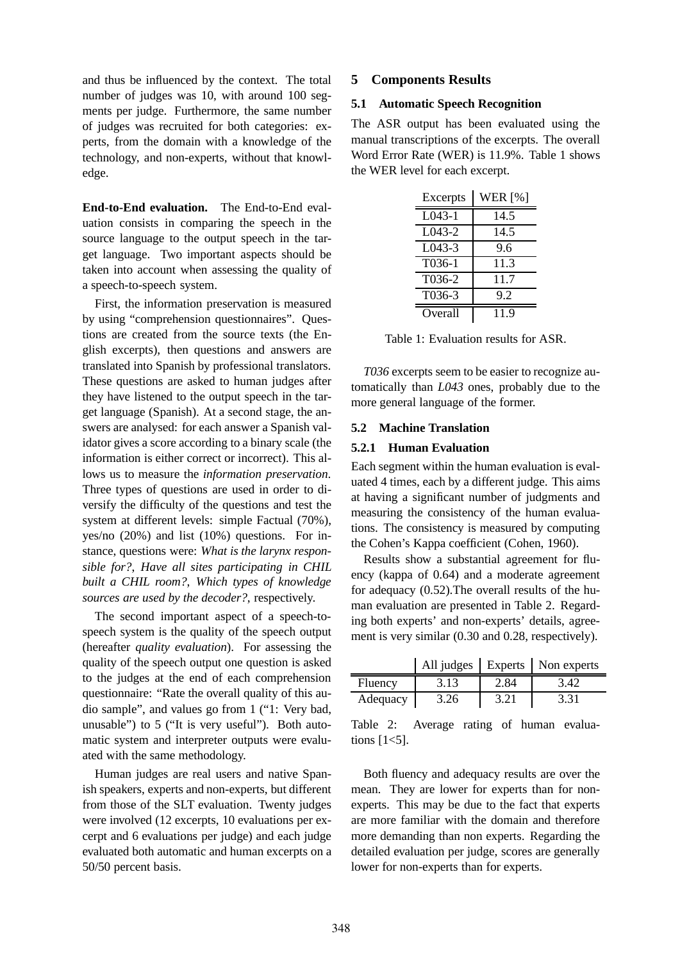and thus be influenced by the context. The total number of judges was 10, with around 100 segments per judge. Furthermore, the same number of judges was recruited for both categories: experts, from the domain with a knowledge of the technology, and non-experts, without that knowledge.

**End-to-End evaluation.** The End-to-End evaluation consists in comparing the speech in the source language to the output speech in the target language. Two important aspects should be taken into account when assessing the quality of a speech-to-speech system.

First, the information preservation is measured by using "comprehension questionnaires". Questions are created from the source texts (the English excerpts), then questions and answers are translated into Spanish by professional translators. These questions are asked to human judges after they have listened to the output speech in the target language (Spanish). At a second stage, the answers are analysed: for each answer a Spanish validator gives a score according to a binary scale (the information is either correct or incorrect). This allows us to measure the *information preservation*. Three types of questions are used in order to diversify the difficulty of the questions and test the system at different levels: simple Factual (70%), yes/no (20%) and list (10%) questions. For instance, questions were: *What is the larynx responsible for?*, *Have all sites participating in CHIL built a CHIL room?*, *Which types of knowledge sources are used by the decoder?*, respectively.

The second important aspect of a speech-tospeech system is the quality of the speech output (hereafter *quality evaluation*). For assessing the quality of the speech output one question is asked to the judges at the end of each comprehension questionnaire: "Rate the overall quality of this audio sample", and values go from 1 ("1: Very bad, unusable") to 5 ("It is very useful"). Both automatic system and interpreter outputs were evaluated with the same methodology.

Human judges are real users and native Spanish speakers, experts and non-experts, but different from those of the SLT evaluation. Twenty judges were involved (12 excerpts, 10 evaluations per excerpt and 6 evaluations per judge) and each judge evaluated both automatic and human excerpts on a 50/50 percent basis.

### **5 Components Results**

#### **5.1 Automatic Speech Recognition**

The ASR output has been evaluated using the manual transcriptions of the excerpts. The overall Word Error Rate (WER) is 11.9%. Table 1 shows the WER level for each excerpt.

| Excerpts | <b>WER</b> [%] |
|----------|----------------|
| $L043-1$ | 14.5           |
| $L043-2$ | 14.5           |
| L043-3   | 9.6            |
| T036-1   | 11.3           |
| T036-2   | 11.7           |
| T036-3   | 9.2            |
| Overall  | 119            |

Table 1: Evaluation results for ASR.

*T036* excerpts seem to be easier to recognize automatically than *L043* ones, probably due to the more general language of the former.

#### **5.2 Machine Translation**

#### **5.2.1 Human Evaluation**

Each segment within the human evaluation is evaluated 4 times, each by a different judge. This aims at having a significant number of judgments and measuring the consistency of the human evaluations. The consistency is measured by computing the Cohen's Kappa coefficient (Cohen, 1960).

Results show a substantial agreement for fluency (kappa of 0.64) and a moderate agreement for adequacy (0.52).The overall results of the human evaluation are presented in Table 2. Regarding both experts' and non-experts' details, agreement is very similar (0.30 and 0.28, respectively).

|          |      |      | All judges   Experts   Non experts |
|----------|------|------|------------------------------------|
| Fluency  | 3.13 | 2.84 | 3.42                               |
| Adequacy | 3.26 | 3.21 | 3.31                               |

Table 2: Average rating of human evaluations  $[1<5]$ .

Both fluency and adequacy results are over the mean. They are lower for experts than for nonexperts. This may be due to the fact that experts are more familiar with the domain and therefore more demanding than non experts. Regarding the detailed evaluation per judge, scores are generally lower for non-experts than for experts.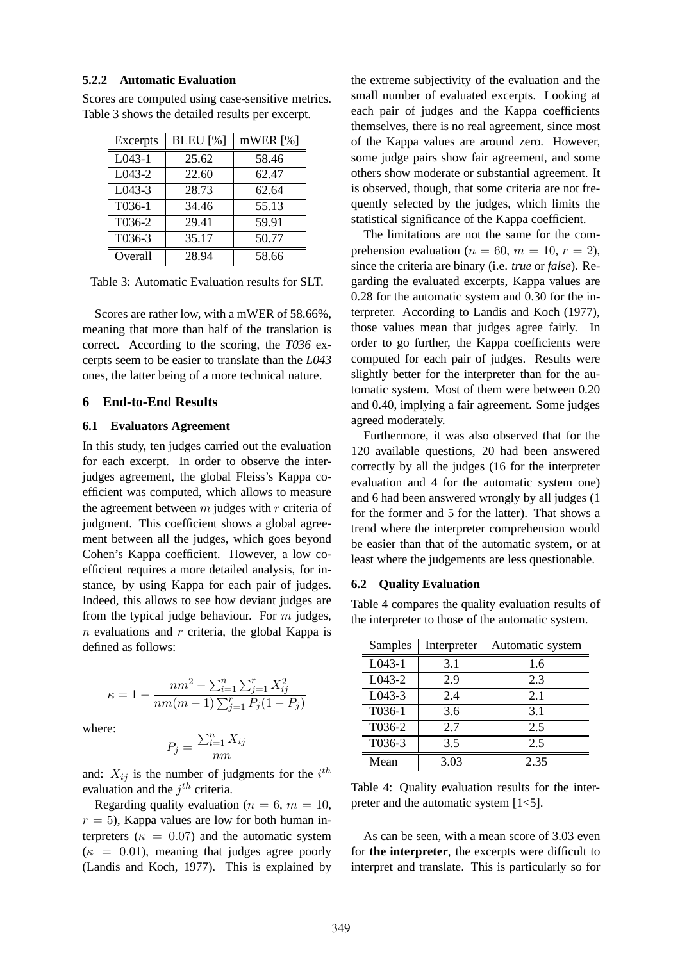#### **5.2.2 Automatic Evaluation**

| Excerpts            | <b>BLEU</b> [%] | mWER[%] |
|---------------------|-----------------|---------|
| $\overline{L}043-1$ | 25.62           | 58.46   |
| L043-2              | 22.60           | 62.47   |
| $L043-3$            | 28.73           | 62.64   |
| T036-1              | 34.46           | 55.13   |
| T036-2              | 29.41           | 59.91   |
| T036-3              | 35.17           | 50.77   |
| Overall             | 28.94           | 58.66   |

Scores are computed using case-sensitive metrics. Table 3 shows the detailed results per excerpt.

Table 3: Automatic Evaluation results for SLT.

Scores are rather low, with a mWER of 58.66%, meaning that more than half of the translation is correct. According to the scoring, the *T036* excerpts seem to be easier to translate than the *L043* ones, the latter being of a more technical nature.

#### **6 End-to-End Results**

#### **6.1 Evaluators Agreement**

In this study, ten judges carried out the evaluation for each excerpt. In order to observe the interjudges agreement, the global Fleiss's Kappa coefficient was computed, which allows to measure the agreement between  $m$  judges with  $r$  criteria of judgment. This coefficient shows a global agreement between all the judges, which goes beyond Cohen's Kappa coefficient. However, a low coefficient requires a more detailed analysis, for instance, by using Kappa for each pair of judges. Indeed, this allows to see how deviant judges are from the typical judge behaviour. For m judges,  $n$  evaluations and  $r$  criteria, the global Kappa is defined as follows:

$$
\kappa = 1 - \frac{nm^2 - \sum_{i=1}^n \sum_{j=1}^r X_{ij}^2}{nm(m-1)\sum_{j=1}^r P_j(1-P_j)}
$$

where:

$$
P_j = \frac{\sum_{i=1}^n X_{ij}}{nm}
$$

and:  $X_{ij}$  is the number of judgments for the  $i^{th}$ evaluation and the  $j^{th}$  criteria.

Regarding quality evaluation ( $n = 6$ ,  $m = 10$ ,  $r = 5$ ), Kappa values are low for both human interpreters ( $\kappa = 0.07$ ) and the automatic system  $(\kappa = 0.01)$ , meaning that judges agree poorly (Landis and Koch, 1977). This is explained by the extreme subjectivity of the evaluation and the small number of evaluated excerpts. Looking at each pair of judges and the Kappa coefficients themselves, there is no real agreement, since most of the Kappa values are around zero. However, some judge pairs show fair agreement, and some others show moderate or substantial agreement. It is observed, though, that some criteria are not frequently selected by the judges, which limits the statistical significance of the Kappa coefficient.

The limitations are not the same for the comprehension evaluation ( $n = 60$ ,  $m = 10$ ,  $r = 2$ ), since the criteria are binary (i.e. *true* or *false*). Regarding the evaluated excerpts, Kappa values are 0.28 for the automatic system and 0.30 for the interpreter. According to Landis and Koch (1977), those values mean that judges agree fairly. In order to go further, the Kappa coefficients were computed for each pair of judges. Results were slightly better for the interpreter than for the automatic system. Most of them were between 0.20 and 0.40, implying a fair agreement. Some judges agreed moderately.

Furthermore, it was also observed that for the 120 available questions, 20 had been answered correctly by all the judges (16 for the interpreter evaluation and 4 for the automatic system one) and 6 had been answered wrongly by all judges (1 for the former and 5 for the latter). That shows a trend where the interpreter comprehension would be easier than that of the automatic system, or at least where the judgements are less questionable.

#### **6.2 Quality Evaluation**

Table 4 compares the quality evaluation results of the interpreter to those of the automatic system.

| Samples  | Interpreter | Automatic system |
|----------|-------------|------------------|
| $L043-1$ | 3.1         | 1.6              |
| L043-2   | 2.9         | 2.3              |
| $L043-3$ | 2.4         | 2.1              |
| T036-1   | 3.6         | 3.1              |
| T036-2   | 2.7         | 2.5              |
| T036-3   | 3.5         | 2.5              |
| Mean     | 3.03        | 2.35             |

Table 4: Quality evaluation results for the interpreter and the automatic system [1<5].

As can be seen, with a mean score of 3.03 even for **the interpreter**, the excerpts were difficult to interpret and translate. This is particularly so for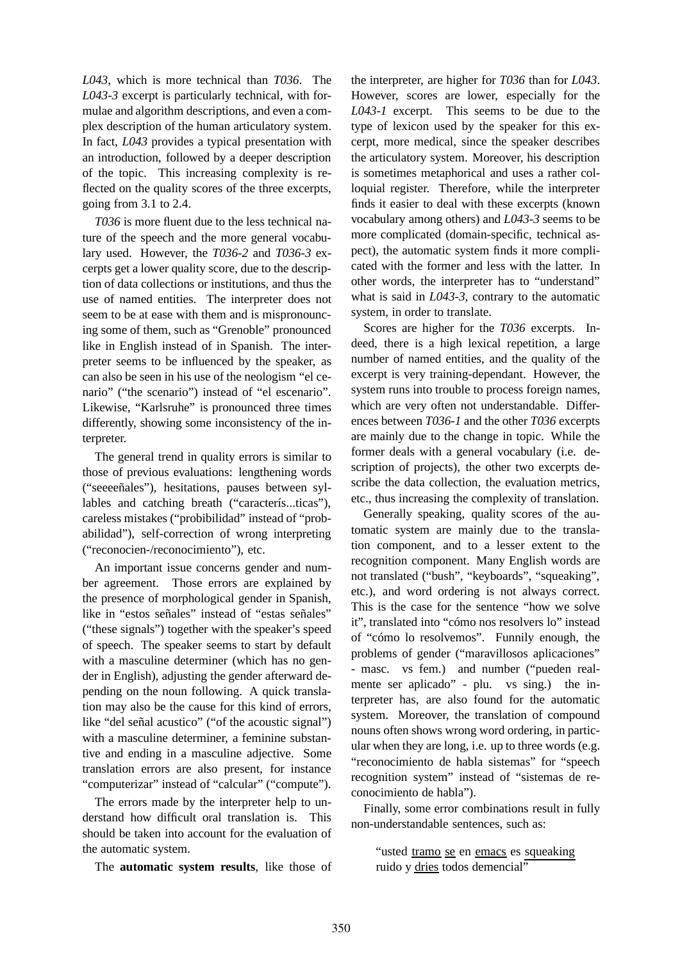*L043*, which is more technical than *T036*. The *L043-3* excerpt is particularly technical, with formulae and algorithm descriptions, and even a complex description of the human articulatory system. In fact, *L043* provides a typical presentation with an introduction, followed by a deeper description of the topic. This increasing complexity is reflected on the quality scores of the three excerpts, going from 3.1 to 2.4.

*T036* is more fluent due to the less technical nature of the speech and the more general vocabulary used. However, the *T036-2* and *T036-3* excerpts get a lower quality score, due to the description of data collections or institutions, and thus the use of named entities. The interpreter does not seem to be at ease with them and is mispronouncing some of them, such as "Grenoble" pronounced like in English instead of in Spanish. The interpreter seems to be influenced by the speaker, as can also be seen in his use of the neologism "el cenario" ("the scenario") instead of "el escenario". Likewise, "Karlsruhe" is pronounced three times differently, showing some inconsistency of the interpreter.

The general trend in quality errors is similar to those of previous evaluations: lengthening words ("seeeeñales"), hesitations, pauses between syllables and catching breath ("caracterís...ticas"), careless mistakes ("probibilidad" instead of "probabilidad"), self-correction of wrong interpreting ("reconocien-/reconocimiento"), etc.

An important issue concerns gender and number agreement. Those errors are explained by the presence of morphological gender in Spanish, like in "estos señales" instead of "estas señales" ("these signals") together with the speaker's speed of speech. The speaker seems to start by default with a masculine determiner (which has no gender in English), adjusting the gender afterward depending on the noun following. A quick translation may also be the cause for this kind of errors, like "del señal acustico" ("of the acoustic signal") with a masculine determiner, a feminine substantive and ending in a masculine adjective. Some translation errors are also present, for instance "computerizar" instead of "calcular" ("compute").

The errors made by the interpreter help to understand how difficult oral translation is. This should be taken into account for the evaluation of the automatic system.

The **automatic system results**, like those of

the interpreter, are higher for *T036* than for *L043*. However, scores are lower, especially for the *L043-1* excerpt. This seems to be due to the type of lexicon used by the speaker for this excerpt, more medical, since the speaker describes the articulatory system. Moreover, his description is sometimes metaphorical and uses a rather colloquial register. Therefore, while the interpreter finds it easier to deal with these excerpts (known vocabulary among others) and *L043-3* seems to be more complicated (domain-specific, technical aspect), the automatic system finds it more complicated with the former and less with the latter. In other words, the interpreter has to "understand" what is said in *L043-3*, contrary to the automatic system, in order to translate.

Scores are higher for the *T036* excerpts. Indeed, there is a high lexical repetition, a large number of named entities, and the quality of the excerpt is very training-dependant. However, the system runs into trouble to process foreign names, which are very often not understandable. Differences between *T036-1* and the other *T036* excerpts are mainly due to the change in topic. While the former deals with a general vocabulary (i.e. description of projects), the other two excerpts describe the data collection, the evaluation metrics, etc., thus increasing the complexity of translation.

Generally speaking, quality scores of the automatic system are mainly due to the translation component, and to a lesser extent to the recognition component. Many English words are not translated ("bush", "keyboards", "squeaking", etc.), and word ordering is not always correct. This is the case for the sentence "how we solve it", translated into "cómo nos resolvers lo" instead of "cómo lo resolvemos". Funnily enough, the problems of gender ("maravillosos aplicaciones" - masc. vs fem.) and number ("pueden realmente ser aplicado" - plu. vs sing.) the interpreter has, are also found for the automatic system. Moreover, the translation of compound nouns often shows wrong word ordering, in particular when they are long, i.e. up to three words (e.g. "reconocimiento de habla sistemas" for "speech recognition system" instead of "sistemas de reconocimiento de habla").

Finally, some error combinations result in fully non-understandable sentences, such as:

"usted tramo se en emacs es squeaking ruido y dries todos demencial"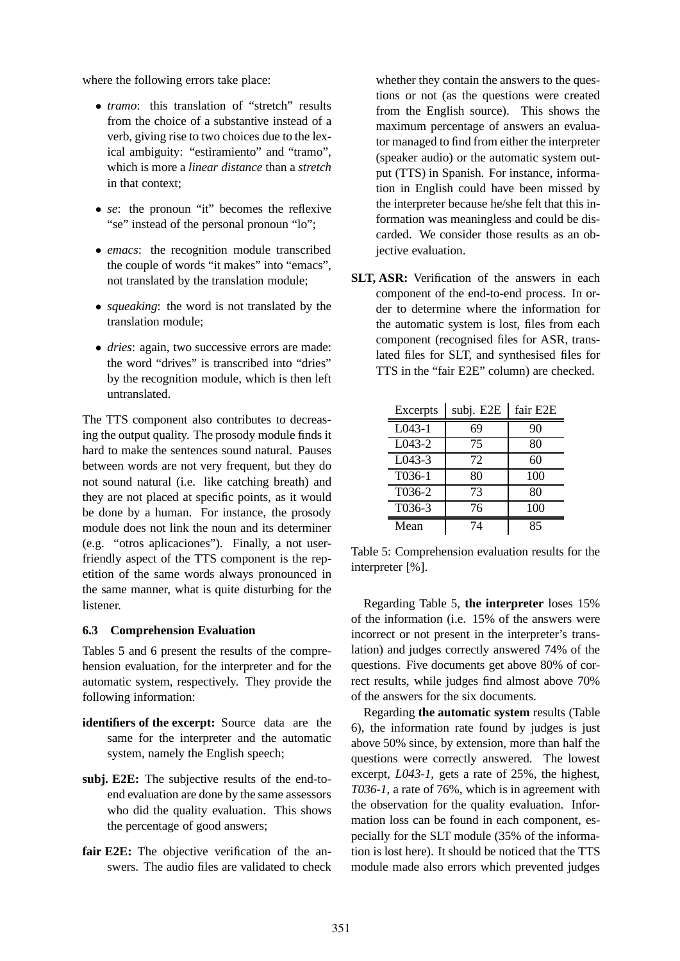where the following errors take place:

- *tramo*: this translation of "stretch" results from the choice of a substantive instead of a verb, giving rise to two choices due to the lexical ambiguity: "estiramiento" and "tramo", which is more a *linear distance* than a *stretch* in that context;
- *se*: the pronoun "it" becomes the reflexive "se" instead of the personal pronoun "lo";
- *emacs*: the recognition module transcribed the couple of words "it makes" into "emacs", not translated by the translation module;
- *squeaking*: the word is not translated by the translation module;
- *dries*: again, two successive errors are made: the word "drives" is transcribed into "dries" by the recognition module, which is then left untranslated.

The TTS component also contributes to decreasing the output quality. The prosody module finds it hard to make the sentences sound natural. Pauses between words are not very frequent, but they do not sound natural (i.e. like catching breath) and they are not placed at specific points, as it would be done by a human. For instance, the prosody module does not link the noun and its determiner (e.g. "otros aplicaciones"). Finally, a not userfriendly aspect of the TTS component is the repetition of the same words always pronounced in the same manner, what is quite disturbing for the listener.

### **6.3 Comprehension Evaluation**

Tables 5 and 6 present the results of the comprehension evaluation, for the interpreter and for the automatic system, respectively. They provide the following information:

- **identifiers of the excerpt:** Source data are the same for the interpreter and the automatic system, namely the English speech;
- **subj. E2E:** The subjective results of the end-toend evaluation are done by the same assessors who did the quality evaluation. This shows the percentage of good answers;
- **fair E2E:** The objective verification of the answers. The audio files are validated to check

whether they contain the answers to the questions or not (as the questions were created from the English source). This shows the maximum percentage of answers an evaluator managed to find from either the interpreter (speaker audio) or the automatic system output (TTS) in Spanish. For instance, information in English could have been missed by the interpreter because he/she felt that this information was meaningless and could be discarded. We consider those results as an objective evaluation.

**SLT, ASR:** Verification of the answers in each component of the end-to-end process. In order to determine where the information for the automatic system is lost, files from each component (recognised files for ASR, translated files for SLT, and synthesised files for TTS in the "fair E2E" column) are checked.

| Excerpts | subj. E2E | fair E2E |
|----------|-----------|----------|
| $L043-1$ | 69        | 90       |
| L043-2   | 75        | 80       |
| $L043-3$ | 72        | 60       |
| T036-1   | 80        | 100      |
| T036-2   | 73        | 80       |
| T036-3   | 76        | 100      |
| Mean     | 74        | 85       |

Table 5: Comprehension evaluation results for the interpreter [%].

Regarding Table 5, **the interpreter** loses 15% of the information (i.e. 15% of the answers were incorrect or not present in the interpreter's translation) and judges correctly answered 74% of the questions. Five documents get above 80% of correct results, while judges find almost above 70% of the answers for the six documents.

Regarding **the automatic system** results (Table 6), the information rate found by judges is just above 50% since, by extension, more than half the questions were correctly answered. The lowest excerpt, *L043-1*, gets a rate of 25%, the highest, *T036-1*, a rate of 76%, which is in agreement with the observation for the quality evaluation. Information loss can be found in each component, especially for the SLT module (35% of the information is lost here). It should be noticed that the TTS module made also errors which prevented judges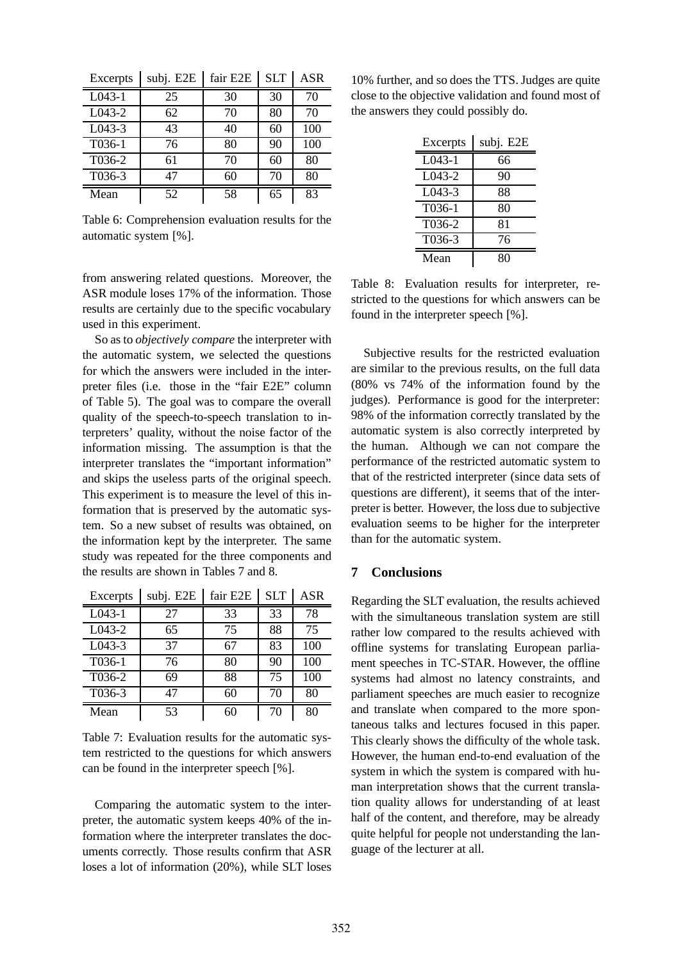| Excerpts             | subj. E2E | fair E2E | <b>SLT</b> | <b>ASR</b> |
|----------------------|-----------|----------|------------|------------|
| $\overline{L043}$ -1 | 25        | 30       | 30         | 70         |
| $L043-2$             | 62        | 70       | 80         | 70         |
| $L043-3$             | 43        | 40       | 60         | 100        |
| T036-1               | 76        | 80       | 90         | 100        |
| T036-2               | 61        | 70       | 60         | 80         |
| T036-3               | 47        | 60       | 70         | 80         |
| Mean                 | 52        | 58       | 65         | 83         |

Table 6: Comprehension evaluation results for the automatic system [%].

from answering related questions. Moreover, the ASR module loses 17% of the information. Those results are certainly due to the specific vocabulary used in this experiment.

So as to *objectively compare* the interpreter with the automatic system, we selected the questions for which the answers were included in the interpreter files (i.e. those in the "fair E2E" column of Table 5). The goal was to compare the overall quality of the speech-to-speech translation to interpreters' quality, without the noise factor of the information missing. The assumption is that the interpreter translates the "important information" and skips the useless parts of the original speech. This experiment is to measure the level of this information that is preserved by the automatic system. So a new subset of results was obtained, on the information kept by the interpreter. The same study was repeated for the three components and the results are shown in Tables 7 and 8.

| Excerpts | subj. E2E | fair E2E | <b>SLT</b> | <b>ASR</b> |
|----------|-----------|----------|------------|------------|
| $L043-1$ | 27        | 33       | 33         | 78         |
| $L043-2$ | 65        | 75       | 88         | 75         |
| $L043-3$ | 37        | 67       | 83         | 100        |
| T036-1   | 76        | 80       | 90         | 100        |
| T036-2   | 69        | 88       | 75         | 100        |
| T036-3   | 47        | 60       | 70         | 80         |
| Mean     | 53        | 60       | 70         | 80         |

Table 7: Evaluation results for the automatic system restricted to the questions for which answers can be found in the interpreter speech [%].

Comparing the automatic system to the interpreter, the automatic system keeps 40% of the information where the interpreter translates the documents correctly. Those results confirm that ASR loses a lot of information (20%), while SLT loses

10% further, and so does the TTS. Judges are quite close to the objective validation and found most of the answers they could possibly do.

| Excerpts | subj. E2E |
|----------|-----------|
| $L043-1$ | 66        |
| L043-2   | 90        |
| $L043-3$ | 88        |
| T036-1   | 80        |
| T036-2   | 81        |
| T036-3   | 76        |
| Mean     | 80        |

Table 8: Evaluation results for interpreter, restricted to the questions for which answers can be found in the interpreter speech [%].

Subjective results for the restricted evaluation are similar to the previous results, on the full data (80% vs 74% of the information found by the judges). Performance is good for the interpreter: 98% of the information correctly translated by the automatic system is also correctly interpreted by the human. Although we can not compare the performance of the restricted automatic system to that of the restricted interpreter (since data sets of questions are different), it seems that of the interpreter is better. However, the loss due to subjective evaluation seems to be higher for the interpreter than for the automatic system.

### **7 Conclusions**

Regarding the SLT evaluation, the results achieved with the simultaneous translation system are still rather low compared to the results achieved with offline systems for translating European parliament speeches in TC-STAR. However, the offline systems had almost no latency constraints, and parliament speeches are much easier to recognize and translate when compared to the more spontaneous talks and lectures focused in this paper. This clearly shows the difficulty of the whole task. However, the human end-to-end evaluation of the system in which the system is compared with human interpretation shows that the current translation quality allows for understanding of at least half of the content, and therefore, may be already quite helpful for people not understanding the language of the lecturer at all.